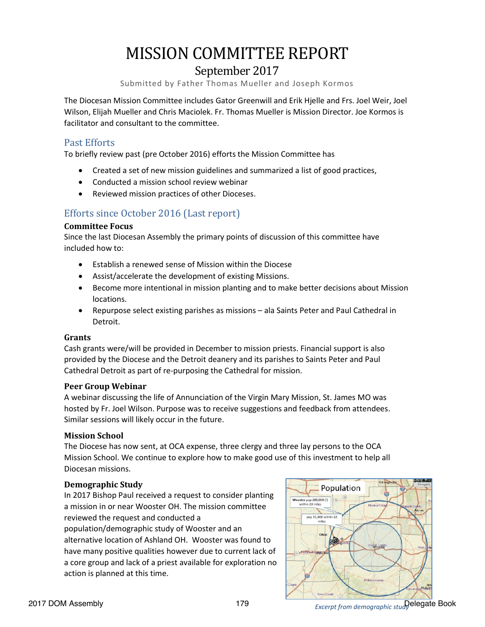# MISSION COMMITTEE REPORT

## September 2017

Submitted by Father Thomas Mueller and Joseph Kormos

The Diocesan Mission Committee includes Gator Greenwill and Erik Hjelle and Frs. Joel Weir, Joel Wilson, Elijah Mueller and Chris Maciolek. Fr. Thomas Mueller is Mission Director. Joe Kormos is facilitator and consultant to the committee.

### Past Efforts

To briefly review past (pre October 2016) efforts the Mission Committee has

- Created a set of new mission guidelines and summarized a list of good practices,
- Conducted a mission school review webinar
- Reviewed mission practices of other Dioceses.

## Efforts since October 2016 (Last report)

#### **Committee Focus**

Since the last Diocesan Assembly the primary points of discussion of this committee have included how to:

- Establish a renewed sense of Mission within the Diocese
- Assist/accelerate the development of existing Missions.
- Become more intentional in mission planting and to make better decisions about Mission locations.
- Repurpose select existing parishes as missions ala Saints Peter and Paul Cathedral in Detroit.

#### **Grants**

Cash grants were/will be provided in December to mission priests. Financial support is also provided by the Diocese and the Detroit deanery and its parishes to Saints Peter and Paul Cathedral Detroit as part of re-purposing the Cathedral for mission.

#### **Peer Group Webinar**

A webinar discussing the life of Annunciation of the Virgin Mary Mission, St. James MO was hosted by Fr. Joel Wilson. Purpose was to receive suggestions and feedback from attendees. Similar sessions will likely occur in the future.

#### **Mission School**

The Diocese has now sent, at OCA expense, three clergy and three lay persons to the OCA Mission School. We continue to explore how to make good use of this investment to help all Diocesan missions.

#### **Demographic Study**

In 2017 Bishop Paul received a request to consider planting a mission in or near Wooster OH. The mission committee reviewed the request and conducted a

population/demographic study of Wooster and an alternative location of Ashland OH. Wooster was found to have many positive qualities however due to current lack of a core group and lack of a priest available for exploration no action is planned at this time.